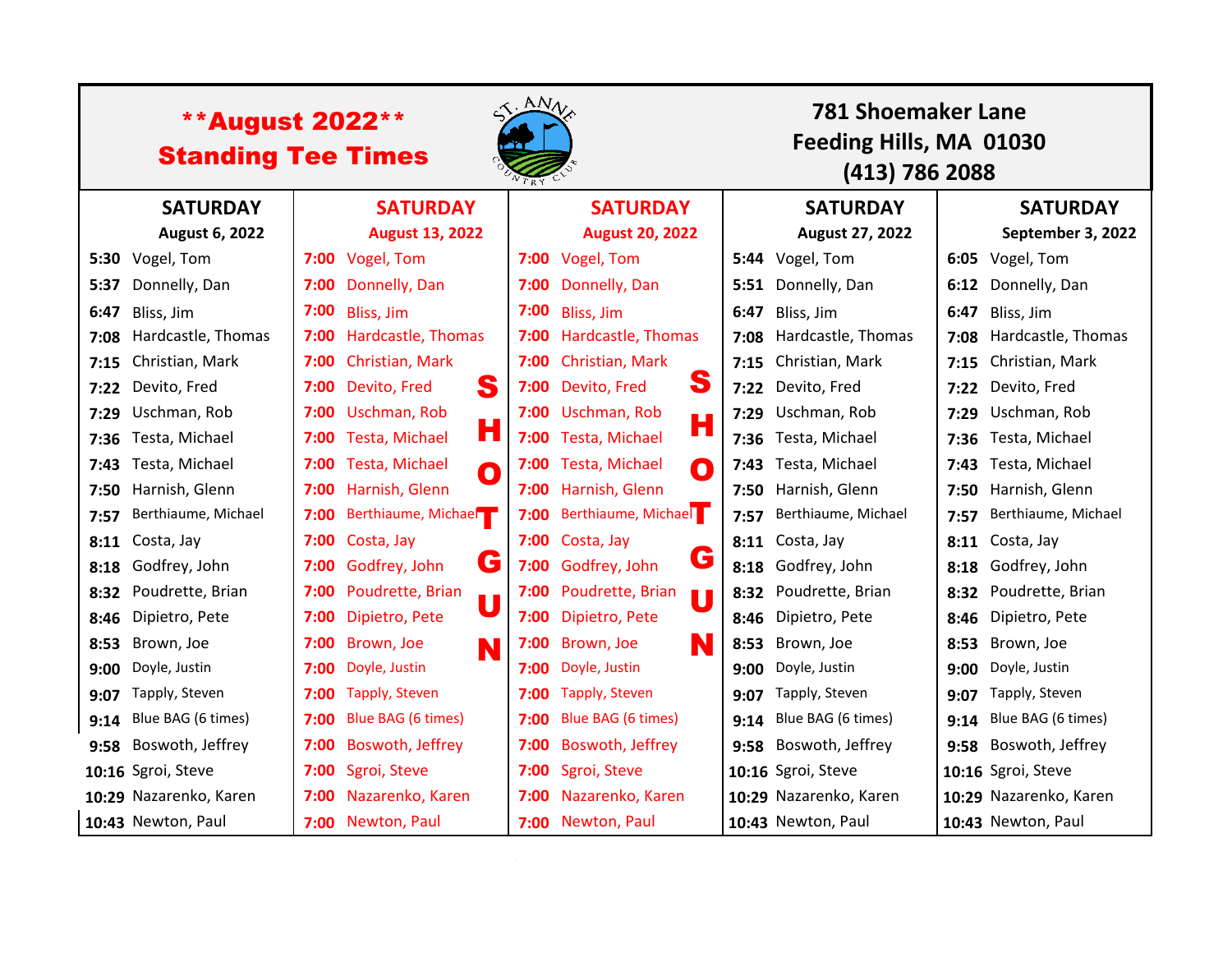| <b>**August 2022**</b><br><b>Standing Tee Times</b> |                        |                 |                                             | ANV<br>781 Shoemaker Lane<br>Feeding Hills, MA 01030<br>(413) 786 2088 |                                         |      |                        |      |                         |  |
|-----------------------------------------------------|------------------------|-----------------|---------------------------------------------|------------------------------------------------------------------------|-----------------------------------------|------|------------------------|------|-------------------------|--|
|                                                     | <b>SATURDAY</b>        | <b>SATURDAY</b> |                                             | <b>SATURDAY</b>                                                        |                                         |      | <b>SATURDAY</b>        |      | <b>SATURDAY</b>         |  |
|                                                     | <b>August 6, 2022</b>  |                 | <b>August 13, 2022</b>                      |                                                                        | <b>August 20, 2022</b>                  |      | August 27, 2022        |      | September 3, 2022       |  |
|                                                     | 5:30 Vogel, Tom        | 7:00            | Vogel, Tom                                  |                                                                        | 7:00 Vogel, Tom                         |      | 5:44 Vogel, Tom        |      | 6:05 Vogel, Tom         |  |
| 5:37                                                | Donnelly, Dan          | 7:00            | Donnelly, Dan                               | 7:00                                                                   | Donnelly, Dan                           | 5:51 | Donnelly, Dan          |      | 6:12 Donnelly, Dan      |  |
| 6:47                                                | Bliss, Jim             | 7:00            | Bliss, Jim                                  | 7:00                                                                   | Bliss, Jim                              | 6:47 | Bliss, Jim             | 6:47 | Bliss, Jim              |  |
| 7:08                                                | Hardcastle, Thomas     | 7:00            | Hardcastle, Thomas                          | 7:00                                                                   | Hardcastle, Thomas                      | 7:08 | Hardcastle, Thomas     |      | 7:08 Hardcastle, Thomas |  |
| 7:15                                                | Christian, Mark        | 7:00            | Christian, Mark                             | 7:00                                                                   | <b>Christian, Mark</b>                  | 7:15 | Christian, Mark        |      | 7:15 Christian, Mark    |  |
| 7:22                                                | Devito, Fred           | 7:00            | S<br>Devito, Fred                           | 7:00                                                                   | S<br>Devito, Fred                       | 7:22 | Devito, Fred           |      | 7:22 Devito, Fred       |  |
| 7:29                                                | Uschman, Rob           | 7:00            | Uschman, Rob                                |                                                                        | 7:00 Uschman, Rob<br>Н                  | 7:29 | Uschman, Rob           | 7:29 | Uschman, Rob            |  |
| 7:36                                                | Testa, Michael         | 7:00            | Н<br>Testa, Michael                         |                                                                        | 7:00 Testa, Michael                     | 7:36 | Testa, Michael         | 7:36 | Testa, Michael          |  |
| 7:43                                                | Testa, Michael         | 7:00            | <b>Testa, Michael</b><br>O                  |                                                                        | 7:00 Testa, Michael<br>$\bullet$        | 7:43 | Testa, Michael         | 7:43 | Testa, Michael          |  |
| 7:50                                                | Harnish, Glenn         | 7:00            | Harnish, Glenn                              |                                                                        | 7:00 Harnish, Glenn                     | 7:50 | Harnish, Glenn         |      | 7:50 Harnish, Glenn     |  |
| 7:57                                                | Berthiaume, Michael    | 7:00            | Berthiaume, Michael                         | 7:00                                                                   | Berthiaume, Michae                      | 7:57 | Berthiaume, Michael    | 7:57 | Berthiaume, Michael     |  |
| 8:11                                                | Costa, Jay             | 7:00            | Costa, Jay                                  |                                                                        | 7:00 Costa, Jay                         | 8:11 | Costa, Jay             |      | 8:11 Costa, Jay         |  |
| 8:18                                                | Godfrey, John          | 7:00            | G<br>Godfrey, John                          |                                                                        | G<br>7:00 Godfrey, John                 | 8:18 | Godfrey, John          |      | 8:18 Godfrey, John      |  |
| 8:32                                                | Poudrette, Brian       | 7:00            | Poudrette, Brian<br>$\overline{\mathsf{U}}$ |                                                                        | 7:00 Poudrette, Brian<br>$\blacksquare$ | 8:32 | Poudrette, Brian       | 8:32 | Poudrette, Brian        |  |
| 8:46                                                | Dipietro, Pete         | 7:00            | Dipietro, Pete                              |                                                                        | 7:00 Dipietro, Pete                     | 8:46 | Dipietro, Pete         |      | 8:46 Dipietro, Pete     |  |
| 8:53                                                | Brown, Joe             | 7:00            | Brown, Joe<br>N                             | 7:00                                                                   | Brown, Joe<br>N                         | 8:53 | Brown, Joe             | 8:53 | Brown, Joe              |  |
| 9:00                                                | Doyle, Justin          | 7:00            | Doyle, Justin                               | 7:00                                                                   | Doyle, Justin                           | 9:00 | Doyle, Justin          | 9:00 | Doyle, Justin           |  |
| 9:07                                                | Tapply, Steven         | 7:00            | Tapply, Steven                              | 7:00                                                                   | <b>Tapply, Steven</b>                   | 9:07 | Tapply, Steven         | 9:07 | Tapply, Steven          |  |
| 9:14                                                | Blue BAG (6 times)     | 7:00            | Blue BAG (6 times)                          | 7:00                                                                   | Blue BAG (6 times)                      | 9:14 | Blue BAG (6 times)     |      | 9:14 Blue BAG (6 times) |  |
| 9:58                                                | Boswoth, Jeffrey       | 7:00            | Boswoth, Jeffrey                            | 7:00                                                                   | Boswoth, Jeffrey                        | 9:58 | Boswoth, Jeffrey       |      | 9:58 Boswoth, Jeffrey   |  |
|                                                     | 10:16 Sgroi, Steve     | 7:00            | Sgroi, Steve                                | 7:00                                                                   | Sgroi, Steve                            |      | 10:16 Sgroi, Steve     |      | 10:16 Sgroi, Steve      |  |
|                                                     | 10:29 Nazarenko, Karen | 7:00            | Nazarenko, Karen                            | 7:00                                                                   | Nazarenko, Karen                        |      | 10:29 Nazarenko, Karen |      | 10:29 Nazarenko, Karen  |  |
|                                                     | 10:43 Newton, Paul     | 7:00            | Newton, Paul                                |                                                                        | 7:00 Newton, Paul                       |      | 10:43 Newton, Paul     |      | 10:43 Newton, Paul      |  |